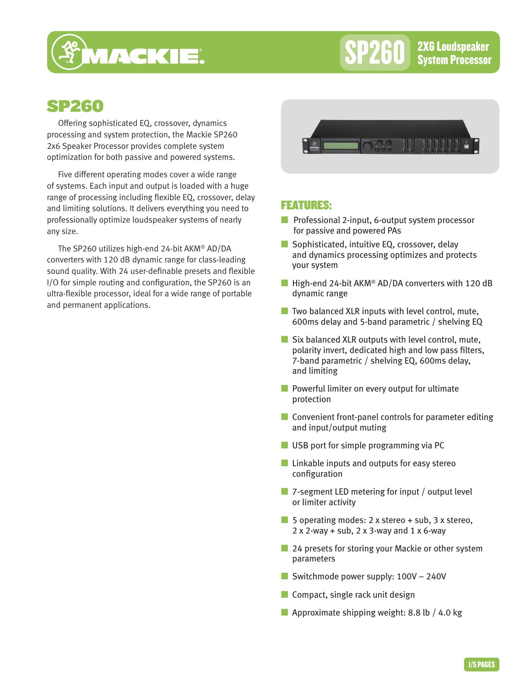

SP260 <sup>2X6 Loudspeaker</sup><br>SP260 System Processor

# SP260

Offering sophisticated EQ, crossover, dynamics processing and system protection, the Mackie SP260 2x6 Speaker Processor provides complete system optimization for both passive and powered systems.

Five different operating modes cover a wide range of systems. Each input and output is loaded with a huge range of processing including flexible EQ, crossover, delay and limiting solutions. It delivers everything you need to professionally optimize loudspeaker systems of nearly any size.

The SP260 utilizes high-end 24-bit AKM® AD/DA converters with 120 dB dynamic range for class-leading sound quality. With 24 user-definable presets and flexible I/O for simple routing and configuration, the SP260 is an ultra-flexible processor, ideal for a wide range of portable and permanent applications.



### FEATURES:

- Professional 2-input, 6-output system processor for passive and powered PAs
- Sophisticated, intuitive EQ, crossover, delay and dynamics processing optimizes and protects your system
- High-end 24-bit AKM<sup>®</sup> AD/DA converters with 120 dB dynamic range
- $\blacksquare$  Two balanced XLR inputs with level control, mute, 600ms delay and 5-band parametric / shelving EQ
- Six balanced XLR outputs with level control, mute, polarity invert, dedicated high and low pass filters, 7-band parametric / shelving EQ, 600ms delay, and limiting
- Powerful limiter on every output for ultimate protection
- Convenient front-panel controls for parameter editing and input/output muting
- USB port for simple programming via PC
- Linkable inputs and outputs for easy stereo configuration
- 7-segment LED metering for input / output level or limiter activity
- 5 operating modes: 2 x stereo + sub, 3 x stereo,  $2 \times 2$ -way + sub,  $2 \times 3$ -way and  $1 \times 6$ -way
- 24 presets for storing your Mackie or other system parameters
- Switchmode power supply: 100V 240V
- Compact, single rack unit design
- **Approximate shipping weight: 8.8 lb** / 4.0 kg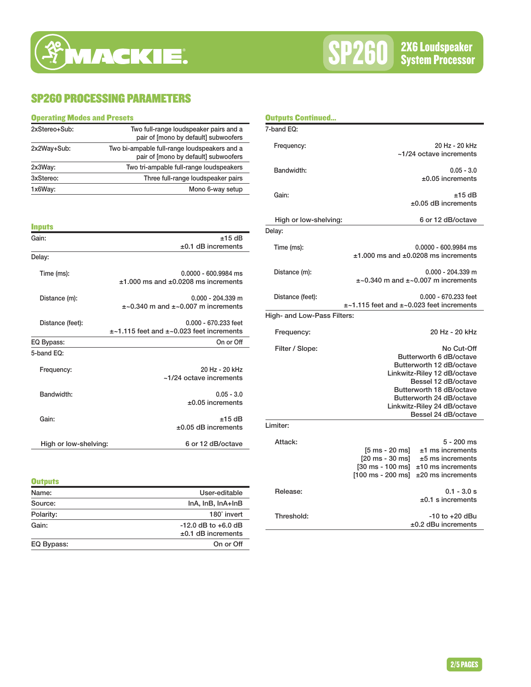## SP260 PROCESSING PARAMETERS

| <b>Operating Modes and Presets</b> |                                                                                      |  |
|------------------------------------|--------------------------------------------------------------------------------------|--|
| 2xStereo+Sub:                      | Two full-range loudspeaker pairs and a<br>pair of [mono by default] subwoofers       |  |
| 2x2Way+Sub:                        | Two bi-ampable full-range loudspeakers and a<br>pair of [mono by default] subwoofers |  |
| 2x3Way:                            | Two tri-ampable full-range loudspeakers                                              |  |
| 3xStereo:                          | Three full-range loudspeaker pairs                                                   |  |
| 1x6Way:                            | Mono 6-way setup                                                                     |  |

 $\overline{\phantom{0}}$ 

| <b>Inputs</b>         |                                                    |
|-----------------------|----------------------------------------------------|
| Gain:                 | $±15$ dB                                           |
|                       | $±0.1$ dB increments                               |
| Delay:                |                                                    |
| Time (ms):            | $0.0000 - 600.9984$ ms                             |
|                       | $±1.000$ ms and $±0.0208$ ms increments            |
| Distance (m):         | $0.000 - 204.339$ m                                |
|                       | $\pm$ ~0.340 m and $\pm$ ~0.007 m increments       |
| Distance (feet):      | $0.000 - 670.233$ feet                             |
|                       | $\pm$ ~1.115 feet and $\pm$ ~0.023 feet increments |
| EQ Bypass:            | On or Off                                          |
| 5-band EQ:            |                                                    |
| Frequency:            | 20 Hz - 20 kHz                                     |
|                       | $~1/24$ octave increments                          |
| Bandwidth:            | $0.05 - 3.0$                                       |
|                       | $±0.05$ increments                                 |
| Gain:                 | $±15$ dB                                           |
|                       | $\pm 0.05$ dB increments                           |
| High or low-shelving: | 6 or 12 dB/octave                                  |
|                       |                                                    |

| <b>Outputs</b> |                                                 |
|----------------|-------------------------------------------------|
| Name:          | User-editable                                   |
| Source:        | InA, InB, InA+InB                               |
| Polarity:      | 180° invert                                     |
| Gain:          | $-12.0$ dB to $+6.0$ dB<br>$±0.1$ dB increments |
| EQ Bypass:     | On or Off                                       |

| <b>Outputs Continued</b>    |                                                                                                                                                    |                                                                                                                                                                                                                                       |
|-----------------------------|----------------------------------------------------------------------------------------------------------------------------------------------------|---------------------------------------------------------------------------------------------------------------------------------------------------------------------------------------------------------------------------------------|
| 7-band EQ:                  |                                                                                                                                                    |                                                                                                                                                                                                                                       |
| Frequency:                  |                                                                                                                                                    | 20 Hz - 20 kHz<br>~1/24 octave increments                                                                                                                                                                                             |
| Bandwidth:                  |                                                                                                                                                    | $0.05 - 3.0$<br>$\pm 0.05$ increments                                                                                                                                                                                                 |
| Gain:                       |                                                                                                                                                    | $±15$ dB<br>$\pm 0.05$ dB increments                                                                                                                                                                                                  |
| High or low-shelving:       |                                                                                                                                                    | 6 or 12 dB/octave                                                                                                                                                                                                                     |
| Delay:                      |                                                                                                                                                    |                                                                                                                                                                                                                                       |
| Time (ms):                  |                                                                                                                                                    | $0.0000 - 600.9984$ ms<br>$±1.000$ ms and $±0.0208$ ms increments                                                                                                                                                                     |
| Distance (m):               |                                                                                                                                                    | 0.000 - 204.339 m<br>$\pm$ ~0.340 m and $\pm$ ~0.007 m increments                                                                                                                                                                     |
| Distance (feet):            | ±~1.115 feet and ±~0.023 feet increments                                                                                                           | 0.000 - 670.233 feet                                                                                                                                                                                                                  |
| High- and Low-Pass Filters: |                                                                                                                                                    |                                                                                                                                                                                                                                       |
| Frequency:                  |                                                                                                                                                    | 20 Hz - 20 kHz                                                                                                                                                                                                                        |
| Filter / Slope:             |                                                                                                                                                    | No Cut-Off<br>Butterworth 6 dB/octave<br>Butterworth 12 dB/octave<br>Linkwitz-Riley 12 dB/octave<br>Bessel 12 dB/octave<br>Butterworth 18 dB/octave<br>Butterworth 24 dB/octave<br>Linkwitz-Riley 24 dB/octave<br>Bessel 24 dB/octave |
| Limiter:                    |                                                                                                                                                    |                                                                                                                                                                                                                                       |
| Attack:                     | $[5 \text{ ms} - 20 \text{ ms}]$<br>$[20 \text{ ms} - 30 \text{ ms}]$<br>$[30 \text{ ms} - 100 \text{ ms}]$<br>$[100 \text{ ms} - 200 \text{ ms}]$ | $5 - 200$ ms<br>$±1$ ms increments<br>$±5$ ms increments<br>$±10$ ms increments<br>$±20$ ms increments                                                                                                                                |
| Release:                    |                                                                                                                                                    | $0.1 - 3.0 s$<br>$±0.1$ s increments                                                                                                                                                                                                  |
| Threshold:                  |                                                                                                                                                    | -10 to +20 dBu<br>$±0.2$ dBu increments                                                                                                                                                                                               |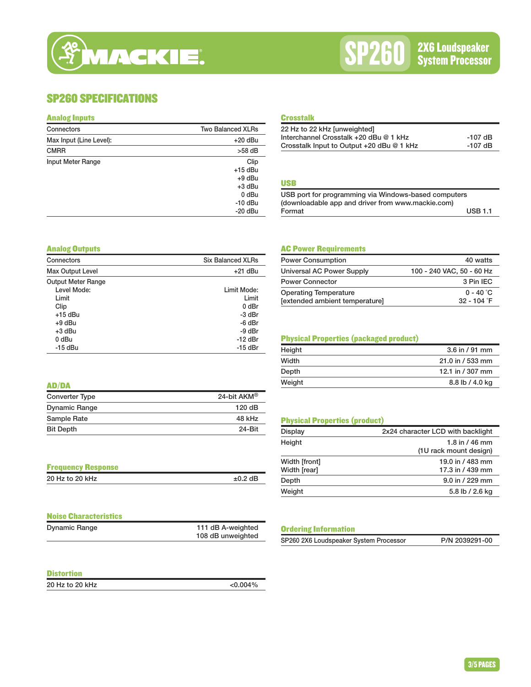## SP260 SPECIFICATIONS

#### Analog Inputs

| Connectors              | <b>Two Balanced XLRs</b>                                                     |
|-------------------------|------------------------------------------------------------------------------|
| Max Input (Line Level): | $+20$ dBu                                                                    |
| <b>CMRR</b>             | $>58$ dB                                                                     |
| Input Meter Range       | Clip<br>$+15$ dBu<br>$+9$ dBu<br>$+3$ dBu<br>0 dBu<br>$-10$ dBu<br>$-20$ dBu |

#### **Crosstalk**

| 22 Hz to 22 kHz [unweighted]              |           |
|-------------------------------------------|-----------|
| Interchannel Crosstalk +20 dBu @ 1 kHz    | $-107$ dB |
| Crosstalk Input to Output +20 dBu @ 1 kHz | $-107$ dB |
|                                           |           |

#### USB

| USB port for programming via Windows-based computers |                |
|------------------------------------------------------|----------------|
| (downloadable app and driver from www.mackie.com)    |                |
| Format                                               | <b>USB 1.1</b> |

#### Analog Outputs

| Connectors                | <b>Six Balanced XLRs</b> |
|---------------------------|--------------------------|
| <b>Max Output Level</b>   | $+21$ dBu                |
| <b>Output Meter Range</b> |                          |
| Level Mode:               | Limit Mode:              |
| Limit                     | Limit                    |
| Clip                      | $0$ dBr                  |
| $+15$ dBu                 | -3 dBr                   |
| +9 dBu                    | -6 dBr                   |
| +3 dBu                    | -9 dBr                   |
| 0 dBu                     | $-12$ dBr                |
| $-15$ dBu                 | $-15$ dBr                |

#### AC Power Requirements

| <b>Power Consumption</b>       | 40 watts                  |
|--------------------------------|---------------------------|
| Universal AC Power Supply      | 100 - 240 VAC, 50 - 60 Hz |
| <b>Power Connector</b>         | 3 Pin IEC                 |
| <b>Operating Temperature</b>   | $0 - 40$ °C               |
| [extended ambient temperature] | $32 - 104$ °F             |

#### Physical Properties (packaged product)

| Height | $3.6$ in / 91 mm |
|--------|------------------|
| Width  | 21.0 in / 533 mm |
| Depth  | 12.1 in / 307 mm |
| Weight | 8.8 lb / 4.0 kg  |

Display 2x24 character LCD with backlight Height **1.8** in / 46 mm

Width [front] 19.0 in / 483 mm<br>
19.0 in / 439 mm<br>
17.3 in / 439 mm

Depth 9.0 in / 229 mm Weight 5.8 lb / 2.6 kg

## AD/DA

| <b>Converter Type</b> | 24-bit AKM <sup>®</sup> |
|-----------------------|-------------------------|
| <b>Dynamic Range</b>  | 120dB                   |
| Sample Rate           | 48 kHz                  |
| <b>Bit Depth</b>      | 24-Bit                  |

| <b>Frequency Response</b> |              |
|---------------------------|--------------|
| 20 Hz to 20 kHz           | $\pm 0.2$ dB |

| <b>Noise Characteristics</b> |                   |
|------------------------------|-------------------|
| <b>Dynamic Range</b>         | 111 dB A-weighted |
|                              | 108 dB unweighted |

Physical Properties (product)

| <b>Ordering Information</b>            |                |
|----------------------------------------|----------------|
| SP260 2X6 Loudspeaker System Processor | P/N 2039291-00 |

| <b>Distortion</b> |             |
|-------------------|-------------|
| 20 Hz to 20 kHz   | $< 0.004\%$ |

(1U rack mount design)

17.3 in / 439 mm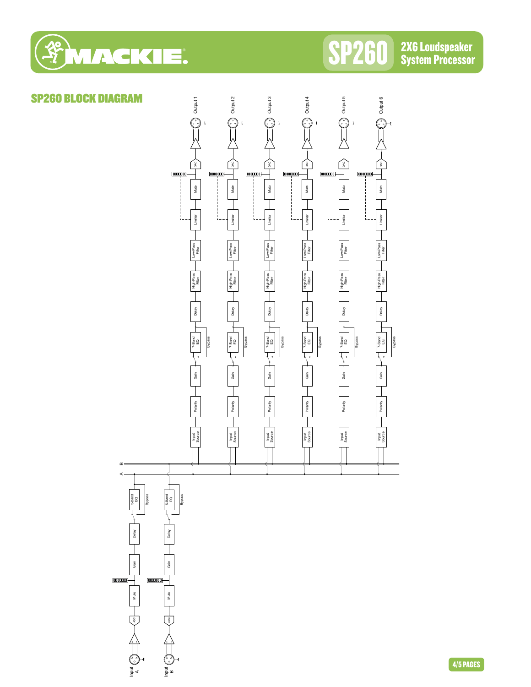

Input

i<br>E<br>L

#### $rac{1}{2}$  Output 5 SP260 BLOCK DIAGRAM $\frac{1}{2}$  Output 1  $\frac{1}{\sqrt{2}}$  Output 6 Output 2 Output 4  $\sum_{i=1}^{n}$ Filter Dack of the Contract of the Contract of the Contract of the Contract of the Contract of the Contract of the Contract of the Contract of the Contract of the Contract of the Contract of the Contract of the Contract of right are a series of the contract of the contract of the contract of the contract of the contract of the contract of the contract of the contract of the contract of the contract of the contract of the contract of the cont FILE DACK ANGLES ON THE CONTROL OF THE CONTROL OF THE CONTROL OF THE CONTROL OF THE CONTROL OF THE CONTROL OF THE CONTROL OF THE CONTROL OF THE CONTROL OF THE CONTROL OF THE CONTROL OF THE CONTROL OF THE CONTROL OF THE CON SPARO (O.) ANT LAST HILL AND THE LAST TIME SEEN LAST TIME SEEN LAST TIME SEEN LAST TIME SEEN LAST TIME SEEN LA ↓mano (e^, } ∧ | | く » | | anv SPARO (O.) ANT ASSITILE ARE THE AREA LIMIT OF LARGE THE LARGE AND A  $rac{1}{2}$  $\mathbb{Q}^+$  $\mathop{\prod\nolimits_{\infty}^{\infty}}$  $\left\langle \bigcap_{n\infty}$  $\left( \begin{array}{c} 2 \\ 3 \end{array} \right)$ ∫ ‱ Second Limited States and Limited States and Limited States and Limited States and Limited States and December 2014  $\infty$ 0000000 0000000 0000000 0000000 0000000 0000000 Mute Mute Mute Mute Mute Mute Limiter Limiter Limiter Limiter Limiter Limiter Low-Pass Low-Pass<br>Filter Low-Pass<br>Filter Low-Pass<br>Filter Low-Pass<br>Filter Input Polarity Cain Low-Band Hay Low-Band Delay Low-Pass University Planer Input Polarity and Cain Polar Peg Delay High-Pass Low-Pass<br>Source Pitter Input Delay Delay Low-Pass Delay Low-Pass Delay Low-Pass<br>Source Pitter Input Polarity Cain Low-Band Hay Low-Band Delay Low-Pass University Planer Input Delarity Cain Low-Pass Delay Low-Pass Delay Low-Pass<br>Source Littler Input Polarity Cain Level Feather Delay Low-Pass Delay Low-Pass<br>Source Elittler Filter High-Pass High-Pass High-Pass<br>Filter High-Pass<br>Filter High-Pass High-Pass Delay Delay Delay Delay Delay Delay  $7-8$ and<br>EQ 7-Band<br>EQ  $7-8$ and<br>EQ  $7$ -Band<br>EQ 7-Band<br>EQ EQ **Bypass** Polarity  $\begin{array}{|c|c|c|c|}\n\hline\n\text{Polar} & \text{Gain} & \text{P-1} & \text{P-1} \\
\hline\n\end{array}$ Bypass Polarity **Lexister** Gain **Property** 7-Band Bypass Polarity Gain 7-Band Bypass Polarity Gain 7-Band Bypass Polarity Gain 7-Band Polarity Gain 7-Band Bypass Gain Gain Gain Gain Gain Gain Polarity Polarity Polarity Polarity Polarity Polarity Input<br>Source Input<br>Source Input<br>Source Input<br>Source Input<br>Source Input<br>Source  $\omega$ 5-Band<br>EQ Bypass Gain Para Palay 5-Band Delay 5-Band Delay 5-Band Budget Gain Person Delay Personal Delay Personal Delay Personal Delay Personal Delay Personal Delay Personal Delay Personal Delay Personal Delay Personal Delay Personal Delay Personal Delay Personal Delay Personal Delay Personal Bypass EQ Delay Gain Gain  $\begin{tabular}{|c|c|} \hline \rule{0pt}{3ex} \rule{0pt}{3ex} \rule{0pt}{3ex} \rule{0pt}{3ex} \rule{0pt}{3ex} \rule{0pt}{3ex} \rule{0pt}{3ex} \rule{0pt}{3ex} \rule{0pt}{3ex} \rule{0pt}{3ex} \rule{0pt}{3ex} \rule{0pt}{3ex} \rule{0pt}{3ex} \rule{0pt}{3ex} \rule{0pt}{3ex} \rule{0pt}{3ex} \rule{0pt}{3ex} \rule{0pt}{3ex} \rule{0pt}{3ex} \rule{0pt}{3ex} \rule{0pt}{3ex} \rule{0pt}{3ex} \rule{0pt}{3$  $\boxed{0000000}$ Mute Mute ्रैं  $\sum_{\mathbf{A}} \left( \begin{matrix} \mathbf{A} & \mathbf{A} \\ \mathbf{A} & \mathbf{A} \end{matrix} \right)$ a<br>a<br>a<br>c<br>D<br>c<br>a<br>c<br>c<br>

4/5 PAGES